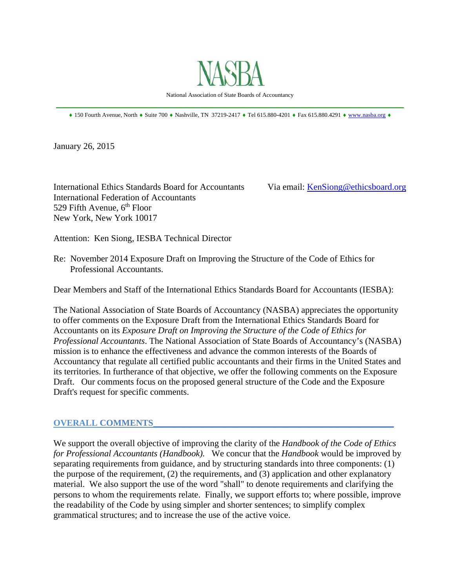

 $\_$  , and the set of the set of the set of the set of the set of the set of the set of the set of the set of the set of the set of the set of the set of the set of the set of the set of the set of the set of the set of th  $*$  150 Fourth Avenue, North  $*$  Suite 700  $*$  Nashville, TN 37219-2417  $*$  Tel 615.880-4201  $*$  Fax 615.880.4291  $*$  www.nasba.org  $*$ 

January 26, 2015

International Ethics Standards Board for Accountants Via email: KenSiong@ethicsboard.org International Federation of Accountants 529 Fifth Avenue,  $6<sup>th</sup>$  Floor New York, New York 10017

Attention: Ken Siong, IESBA Technical Director

Re: November 2014 Exposure Draft on Improving the Structure of the Code of Ethics for Professional Accountants.

Dear Members and Staff of the International Ethics Standards Board for Accountants (IESBA):

The National Association of State Boards of Accountancy (NASBA) appreciates the opportunity to offer comments on the Exposure Draft from the International Ethics Standards Board for Accountants on its *Exposure Draft on Improving the Structure of the Code of Ethics for Professional Accountants*. The National Association of State Boards of Accountancy's (NASBA) mission is to enhance the effectiveness and advance the common interests of the Boards of Accountancy that regulate all certified public accountants and their firms in the United States and its territories. In furtherance of that objective, we offer the following comments on the Exposure Draft. Our comments focus on the proposed general structure of the Code and the Exposure Draft's request for specific comments.

#### **OVERALL COMMENTS\_\_\_\_\_\_\_\_\_\_\_\_\_\_\_\_\_\_\_\_\_\_\_\_\_\_\_\_\_\_\_\_\_\_\_\_\_\_\_\_\_\_\_\_\_\_\_\_\_\_\_\_\_\_**

We support the overall objective of improving the clarity of the *Handbook of the Code of Ethics for Professional Accountants (Handbook).* We concur that the *Handbook* would be improved by separating requirements from guidance, and by structuring standards into three components: (1) the purpose of the requirement, (2) the requirements, and (3) application and other explanatory material. We also support the use of the word "shall" to denote requirements and clarifying the persons to whom the requirements relate. Finally, we support efforts to; where possible, improve the readability of the Code by using simpler and shorter sentences; to simplify complex grammatical structures; and to increase the use of the active voice.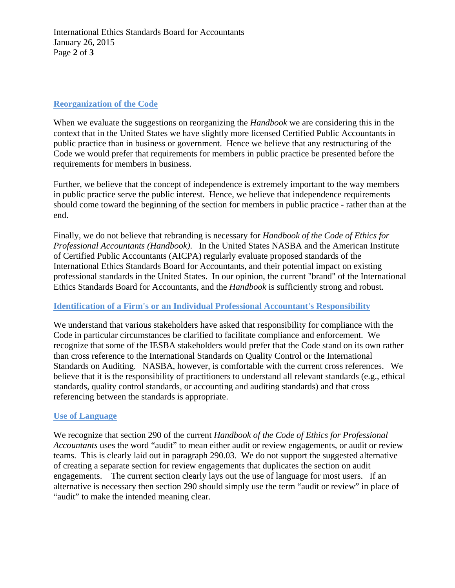International Ethics Standards Board for Accountants January 26, 2015 Page **2** of **3** 

# **Reorganization of the Code**

When we evaluate the suggestions on reorganizing the *Handbook* we are considering this in the context that in the United States we have slightly more licensed Certified Public Accountants in public practice than in business or government. Hence we believe that any restructuring of the Code we would prefer that requirements for members in public practice be presented before the requirements for members in business.

Further, we believe that the concept of independence is extremely important to the way members in public practice serve the public interest. Hence, we believe that independence requirements should come toward the beginning of the section for members in public practice - rather than at the end.

Finally, we do not believe that rebranding is necessary for *Handbook of the Code of Ethics for Professional Accountants (Handbook)*. In the United States NASBA and the American Institute of Certified Public Accountants (AICPA) regularly evaluate proposed standards of the International Ethics Standards Board for Accountants, and their potential impact on existing professional standards in the United States. In our opinion, the current "brand" of the International Ethics Standards Board for Accountants, and the *Handbook* is sufficiently strong and robust.

## **Identification of a Firm's or an Individual Professional Accountant's Responsibility**

We understand that various stakeholders have asked that responsibility for compliance with the Code in particular circumstances be clarified to facilitate compliance and enforcement. We recognize that some of the IESBA stakeholders would prefer that the Code stand on its own rather than cross reference to the International Standards on Quality Control or the International Standards on Auditing. NASBA, however, is comfortable with the current cross references. We believe that it is the responsibility of practitioners to understand all relevant standards (e.g., ethical standards, quality control standards, or accounting and auditing standards) and that cross referencing between the standards is appropriate.

## **Use of Language**

We recognize that section 290 of the current *Handbook of the Code of Ethics for Professional Accountants* uses the word "audit" to mean either audit or review engagements, or audit or review teams. This is clearly laid out in paragraph 290.03. We do not support the suggested alternative of creating a separate section for review engagements that duplicates the section on audit engagements. The current section clearly lays out the use of language for most users. If an alternative is necessary then section 290 should simply use the term "audit or review" in place of "audit" to make the intended meaning clear.